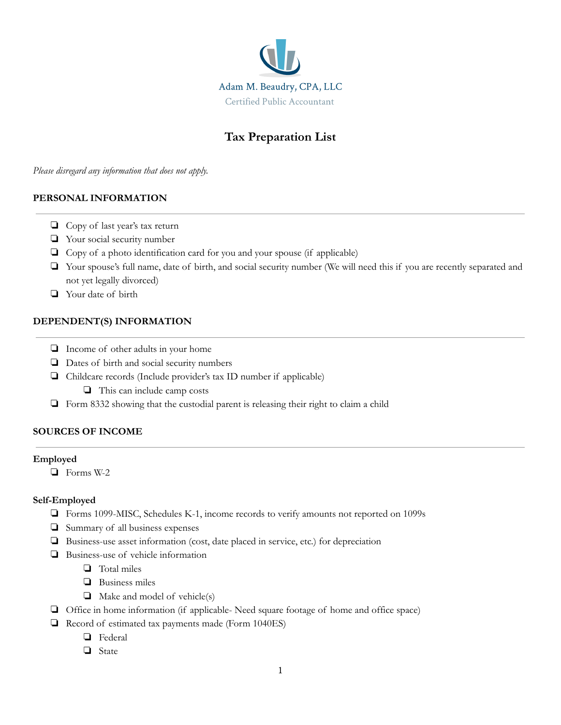

# **Tax Preparation List**

*Please disregard any information that does not apply.*

### **PERSONAL INFORMATION**

- ❏ Copy of last year's tax return
- ❏ Your social security number
- ❏ Copy of a photo identification card for you and your spouse (if applicable)
- ❏ Your spouse's full name, date of birth, and social security number (We will need this if you are recently separated and not yet legally divorced)
- ❏ Your date of birth

### **DEPENDENT(S) INFORMATION**

- ❏ Income of other adults in your home
- ❏ Dates of birth and social security numbers
- ❏ Childcare records (Include provider's tax ID number if applicable)
	- ❏ This can include camp costs
- ❏ Form 8332 showing that the custodial parent is releasing their right to claim a child

# **SOURCES OF INCOME**

#### **Employed**

❏ Forms W-2

#### **Self-Employed**

- ❏ Forms 1099-MISC, Schedules K-1, income records to verify amounts not reported on 1099s
- ❏ Summary of all business expenses
- ❏ Business-use asset information (cost, date placed in service, etc.) for depreciation
- ❏ Business-use of vehicle information
	- ❏ Total miles
	- ❏ Business miles
	- ❏ Make and model of vehicle(s)
- ❏ Office in home information (if applicable- Need square footage of home and office space)
- ❏ Record of estimated tax payments made (Form 1040ES)
	- ❏ Federal
	- ❏ State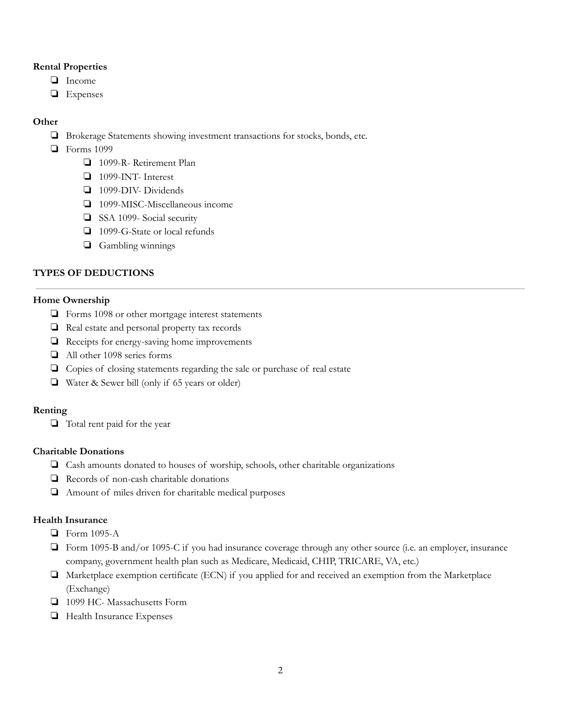#### **Rental Properties**

- ❏ Income
- ❏ Expenses

# **Other**

- ❏ Brokerage Statements showing investment transactions for stocks, bonds, etc.
- ❏ Forms 1099
	- ❏ 1099-R- Retirement Plan
	- ❏ 1099-INT- Interest
	- ❏ 1099-DIV- Dividends
	- ❏ 1099-MISC-Miscellaneous income
	- ❏ SSA 1099- Social security
	- ❏ 1099-G-State or local refunds
	- ❏ Gambling winnings

# **TYPES OF DEDUCTIONS**

### **Home Ownership**

- ❏ Forms 1098 or other mortgage interest statements
- ❏ Real estate and personal property tax records
- ❏ Receipts for energy-saving home improvements
- ❏ All other 1098 series forms
- ❏ Copies of closing statements regarding the sale or purchase of real estate
- ❏ Water & Sewer bill (only if 65 years or older)

# **Renting**

❏ Total rent paid for the year

#### **Charitable Donations**

- ❏ Cash amounts donated to houses of worship, schools, other charitable organizations
- ❏ Records of non-cash charitable donations
- ❏ Amount of miles driven for charitable medical purposes

# **Health Insurance**

- ❏ Form 1095-A
- ❏ Form 1095-B and/or 1095-C if you had insurance coverage through any other source (i.e. an employer, insurance company, government health plan such as Medicare, Medicaid, CHIP, TRICARE, VA, etc.)
- ❏ Marketplace exemption certificate (ECN) if you applied for and received an exemption from the Marketplace (Exchange)
- ❏ 1099 HC- Massachusetts Form
- ❏ Health Insurance Expenses